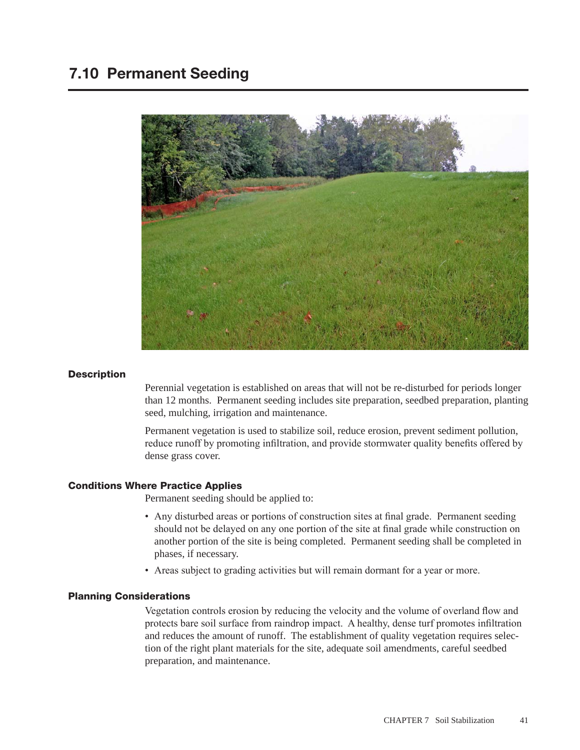

# **Description**

Perennial vegetation is established on areas that will not be re-disturbed for periods longer than 12 months. Permanent seeding includes site preparation, seedbed preparation, planting seed, mulching, irrigation and maintenance.

Permanent vegetation is used to stabilize soil, reduce erosion, prevent sediment pollution, reduce runoff by promoting infiltration, and provide stormwater quality benefits offered by dense grass cover.

# Conditions Where Practice Applies

Permanent seeding should be applied to:

- Any disturbed areas or portions of construction sites at final grade. Permanent seeding should not be delayed on any one portion of the site at final grade while construction on another portion of the site is being completed. Permanent seeding shall be completed in phases, if necessary.
- Areas subject to grading activities but will remain dormant for a year or more.

### Planning Considerations

Vegetation controls erosion by reducing the velocity and the volume of overland flow and protects bare soil surface from raindrop impact. A healthy, dense turf promotes infiltration and reduces the amount of runoff. The establishment of quality vegetation requires selection of the right plant materials for the site, adequate soil amendments, careful seedbed preparation, and maintenance.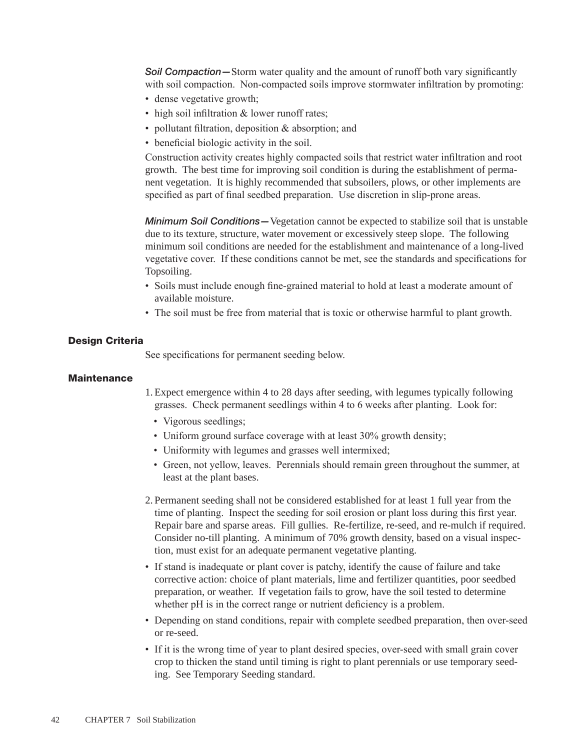**Soil Compaction—**Storm water quality and the amount of runoff both vary significantly with soil compaction. Non-compacted soils improve stormwater infiltration by promoting:

- dense vegetative growth;
- high soil infiltration & lower runoff rates;
- pollutant filtration, deposition & absorption; and
- beneficial biologic activity in the soil.

Construction activity creates highly compacted soils that restrict water infiltration and root growth. The best time for improving soil condition is during the establishment of permanent vegetation. It is highly recommended that subsoilers, plows, or other implements are specified as part of final seedbed preparation. Use discretion in slip-prone areas.

*Minimum Soil Conditions—*Vegetation cannot be expected to stabilize soil that is unstable due to its texture, structure, water movement or excessively steep slope. The following minimum soil conditions are needed for the establishment and maintenance of a long-lived vegetative cover. If these conditions cannot be met, see the standards and specifications for Topsoiling.

- Soils must include enough fine-grained material to hold at least a moderate amount of available moisture.
- The soil must be free from material that is toxic or otherwise harmful to plant growth.

#### Design Criteria

See specifications for permanent seeding below.

#### Maintenance

1. Expect emergence within 4 to 28 days after seeding, with legumes typically following grasses. Check permanent seedlings within 4 to 6 weeks after planting. Look for:

- Vigorous seedlings;
- Uniform ground surface coverage with at least 30% growth density;
- Uniformity with legumes and grasses well intermixed;
- Green, not yellow, leaves. Perennials should remain green throughout the summer, at least at the plant bases.
- 2. Permanent seeding shall not be considered established for at least 1 full year from the time of planting. Inspect the seeding for soil erosion or plant loss during this first year. Repair bare and sparse areas. Fill gullies. Re-fertilize, re-seed, and re-mulch if required. Consider no-till planting. A minimum of 70% growth density, based on a visual inspection, must exist for an adequate permanent vegetative planting.
- If stand is inadequate or plant cover is patchy, identify the cause of failure and take corrective action: choice of plant materials, lime and fertilizer quantities, poor seedbed preparation, or weather. If vegetation fails to grow, have the soil tested to determine whether pH is in the correct range or nutrient deficiency is a problem.
- Depending on stand conditions, repair with complete seedbed preparation, then over-seed or re-seed.
- If it is the wrong time of year to plant desired species, over-seed with small grain cover crop to thicken the stand until timing is right to plant perennials or use temporary seeding. See Temporary Seeding standard.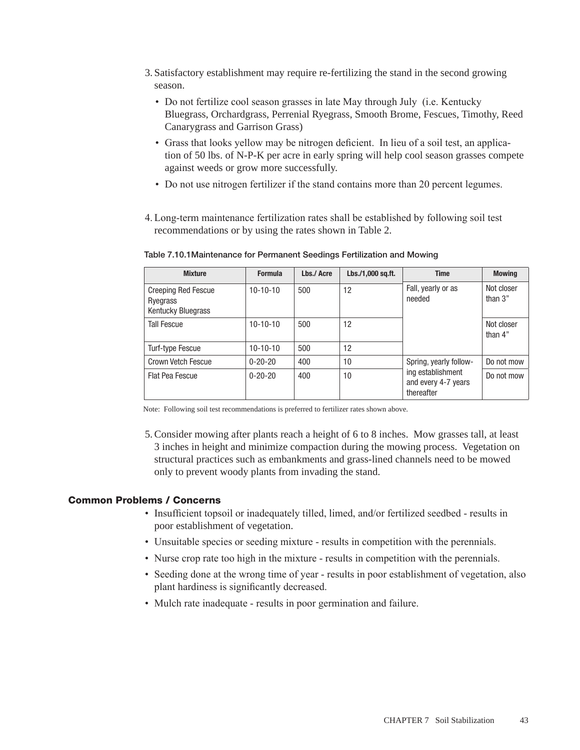- 3. Satisfactory establishment may require re-fertilizing the stand in the second growing season.
	- Do not fertilize cool season grasses in late May through July (i.e. Kentucky Bluegrass, Orchardgrass, Perrenial Ryegrass, Smooth Brome, Fescues, Timothy, Reed Canarygrass and Garrison Grass)
	- Grass that looks yellow may be nitrogen deficient. In lieu of a soil test, an application of 50 lbs. of N-P-K per acre in early spring will help cool season grasses compete against weeds or grow more successfully.
	- Do not use nitrogen fertilizer if the stand contains more than 20 percent legumes.
- 4. Long-term maintenance fertilization rates shall be established by following soil test recommendations or by using the rates shown in Table 2.

| <b>Mixture</b>                                                      | <b>Formula</b> | Lbs./ Acre | Lbs./1,000 sq.ft. | <b>Time</b>                                                                      | <b>Mowing</b>           |
|---------------------------------------------------------------------|----------------|------------|-------------------|----------------------------------------------------------------------------------|-------------------------|
| <b>Creeping Red Fescue</b><br>Ryegrass<br><b>Kentucky Bluegrass</b> | $10-10-10$     | 500        | 12                | Fall, yearly or as<br>needed                                                     | Not closer<br>than $3"$ |
| <b>Tall Fescue</b>                                                  | $10-10-10$     | 500        | 12                |                                                                                  | Not closer<br>than 4"   |
| Turf-type Fescue                                                    | $10-10-10$     | 500        | 12                |                                                                                  |                         |
| Crown Vetch Fescue                                                  | $0 - 20 - 20$  | 400        | 10                | Spring, yearly follow-<br>ing establishment<br>and every 4-7 years<br>thereafter | Do not mow              |
| Flat Pea Fescue                                                     | $0 - 20 - 20$  | 400        | 10                |                                                                                  | Do not mow              |

Table 7.10.1Maintenance for Permanent Seedings Fertilization and Mowing

Note: Following soil test recommendations is preferred to fertilizer rates shown above.

5.Consider mowing after plants reach a height of 6 to 8 inches. Mow grasses tall, at least 3 inches in height and minimize compaction during the mowing process. Vegetation on structural practices such as embankments and grass-lined channels need to be mowed only to prevent woody plants from invading the stand.

# Common Problems / Concerns

- Insufficient topsoil or inadequately tilled, limed, and/or fertilized seedbed results in poor establishment of vegetation.
- Unsuitable species or seeding mixture results in competition with the perennials.
- Nurse crop rate too high in the mixture results in competition with the perennials.
- Seeding done at the wrong time of year results in poor establishment of vegetation, also plant hardiness is significantly decreased.
- Mulch rate inadequate results in poor germination and failure.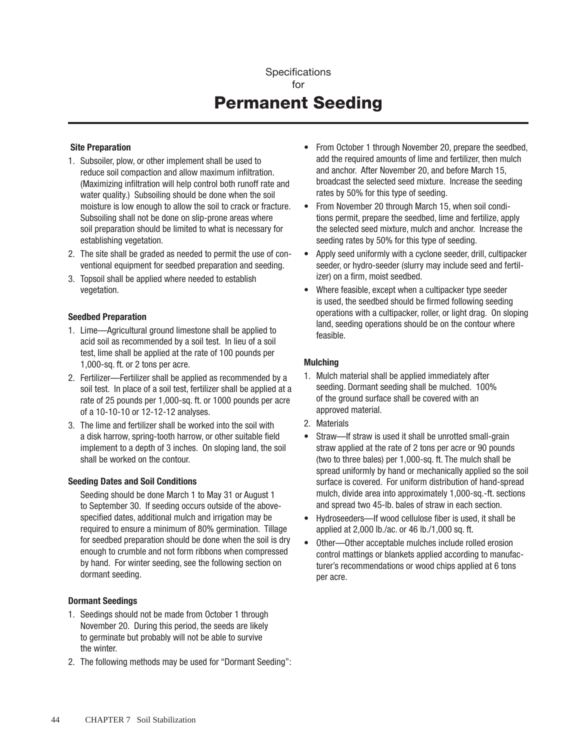# **Specifications** for Permanent Seeding

### Site Preparation

- 1. Subsoiler, plow, or other implement shall be used to reduce soil compaction and allow maximum infiltration. (Maximizing infiltration will help control both runoff rate and water quality.) Subsoiling should be done when the soil moisture is low enough to allow the soil to crack or fracture. Subsoiling shall not be done on slip-prone areas where soil preparation should be limited to what is necessary for establishing vegetation.
- 2. The site shall be graded as needed to permit the use of conventional equipment for seedbed preparation and seeding.
- 3. Topsoil shall be applied where needed to establish vegetation.

#### Seedbed Preparation

- 1. Lime—Agricultural ground limestone shall be applied to acid soil as recommended by a soil test. In lieu of a soil test, lime shall be applied at the rate of 100 pounds per 1,000-sq. ft. or 2 tons per acre.
- 2. Fertilizer—Fertilizer shall be applied as recommended by a soil test. In place of a soil test, fertilizer shall be applied at a rate of 25 pounds per 1,000-sq. ft. or 1000 pounds per acre of a 10-10-10 or 12-12-12 analyses.
- 3. The lime and fertilizer shall be worked into the soil with a disk harrow, spring-tooth harrow, or other suitable field implement to a depth of 3 inches. On sloping land, the soil shall be worked on the contour.

# Seeding Dates and Soil Conditions

Seeding should be done March 1 to May 31 or August 1 to September 30. If seeding occurs outside of the abovespecified dates, additional mulch and irrigation may be required to ensure a minimum of 80% germination. Tillage for seedbed preparation should be done when the soil is dry enough to crumble and not form ribbons when compressed by hand. For winter seeding, see the following section on dormant seeding.

#### Dormant Seedings

- 1. Seedings should not be made from October 1 through November 20. During this period, the seeds are likely to germinate but probably will not be able to survive the winter.
- 2. The following methods may be used for "Dormant Seeding":
- From October 1 through November 20, prepare the seedbed. add the required amounts of lime and fertilizer, then mulch and anchor. After November 20, and before March 15, broadcast the selected seed mixture. Increase the seeding rates by 50% for this type of seeding.
- From November 20 through March 15, when soil conditions permit, prepare the seedbed, lime and fertilize, apply the selected seed mixture, mulch and anchor. Increase the seeding rates by 50% for this type of seeding.
- • Apply seed uniformly with a cyclone seeder, drill, cultipacker seeder, or hydro-seeder (slurry may include seed and fertilizer) on a firm, moist seedbed.
- Where feasible, except when a cultipacker type seeder is used, the seedbed should be firmed following seeding operations with a cultipacker, roller, or light drag. On sloping land, seeding operations should be on the contour where feasible.

#### **Mulching**

- 1. Mulch material shall be applied immediately after seeding. Dormant seeding shall be mulched. 100% of the ground surface shall be covered with an approved material.
- 2. Materials
- Straw—If straw is used it shall be unrotted small-grain straw applied at the rate of 2 tons per acre or 90 pounds (two to three bales) per 1,000-sq. ft. The mulch shall be spread uniformly by hand or mechanically applied so the soil surface is covered. For uniform distribution of hand-spread mulch, divide area into approximately 1,000-sq.-ft. sections and spread two 45-lb. bales of straw in each section.
- Hydroseeders—If wood cellulose fiber is used, it shall be applied at 2,000 lb./ac. or 46 lb./1,000 sq. ft.
- Other---Other acceptable mulches include rolled erosion control mattings or blankets applied according to manufacturer's recommendations or wood chips applied at 6 tons per acre.